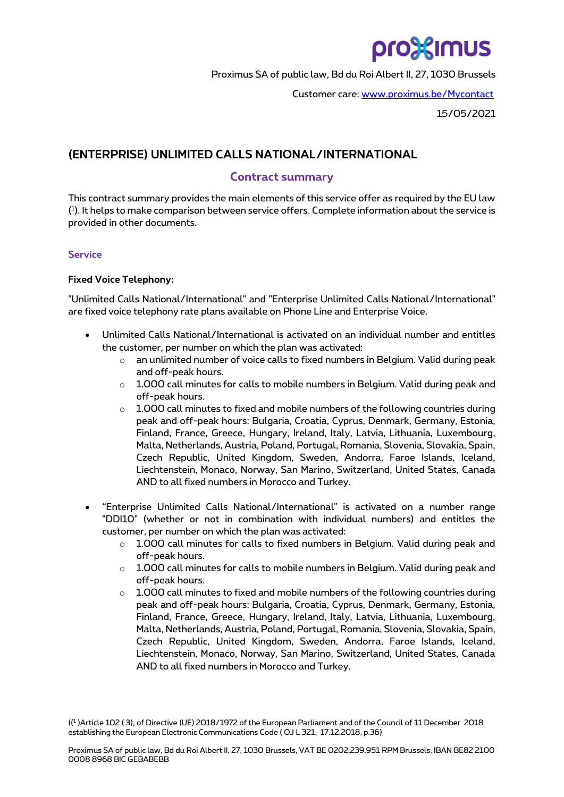# pro%imus

Proximus SA of public law, Bd du Roi Albert II, 27, 1030 Brussels

Customer care: [www.proximus.be/Mycontact](http://www.proximus.be/Mycontact)

15/05/2021

# **(ENTERPRISE) UNLIMITED CALLS NATIONAL/INTERNATIONAL**

## **Contract summary**

This contract summary provides the main elements of this service offer as required by the EU law ( 1 ). It helps to make comparison between service offers. Complete information about the service is provided in other documents.

## **Service**

### **Fixed Voice Telephony:**

"Unlimited Calls National/International" and "Enterprise Unlimited Calls National/International" are fixed voice telephony rate plans available on Phone Line and Enterprise Voice.

- Unlimited Calls National/International is activated on an individual number and entitles the customer, per number on which the plan was activated:
	- $\circ$  an unlimited number of voice calls to fixed numbers in Belgium. Valid during peak and off-peak hours.
	- $\circ$  1.000 call minutes for calls to mobile numbers in Belgium. Valid during peak and off-peak hours.
	- $\circ$  1.000 call minutes to fixed and mobile numbers of the following countries during peak and off-peak hours: Bulgaria, Croatia, Cyprus, Denmark, Germany, Estonia, Finland, France, Greece, Hungary, Ireland, Italy, Latvia, Lithuania, Luxembourg, Malta, Netherlands, Austria, Poland, Portugal, Romania, Slovenia, Slovakia, Spain, Czech Republic, United Kingdom, Sweden, Andorra, Faroe Islands, Iceland, Liechtenstein, Monaco, Norway, San Marino, Switzerland, United States, Canada AND to all fixed numbers in Morocco and Turkey.
- "Enterprise Unlimited Calls National/International" is activated on a number range "DDI10" (whether or not in combination with individual numbers) and entitles the customer, per number on which the plan was activated:
	- $\circ$  1.000 call minutes for calls to fixed numbers in Belgium. Valid during peak and off-peak hours.
	- $\circ$  1.000 call minutes for calls to mobile numbers in Belgium. Valid during peak and off-peak hours.
	- $\circ$  1.000 call minutes to fixed and mobile numbers of the following countries during peak and off-peak hours: Bulgaria, Croatia, Cyprus, Denmark, Germany, Estonia, Finland, France, Greece, Hungary, Ireland, Italy, Latvia, Lithuania, Luxembourg, Malta, Netherlands, Austria, Poland, Portugal, Romania, Slovenia, Slovakia, Spain, Czech Republic, United Kingdom, Sweden, Andorra, Faroe Islands, Iceland, Liechtenstein, Monaco, Norway, San Marino, Switzerland, United States, Canada AND to all fixed numbers in Morocco and Turkey.

(( 1 )Article 102 ( 3), of Directive (UE) 2018/1972 of the European Parliament and of the Council of 11 December 2018 establishing the European Electronic Communications Code ( OJ L 321, 17.12.2018, p.36)